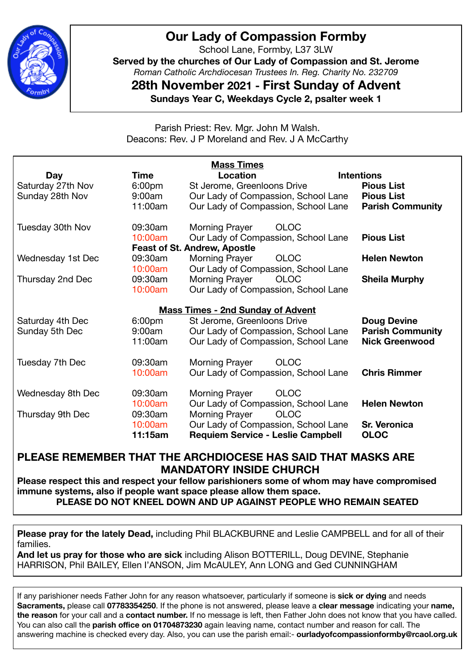

## **Our Lady of Compassion Formby**

School Lane, Formby, L37 3LW

**Served by the churches of Our Lady of Compassion and St. Jerome**  *Roman Catholic Archdiocesan Trustees In. Reg. Charity No. 232709* 

**28th November 2021 - First Sunday of Advent** 

**Sundays Year C, Weekdays Cycle 2, psalter week 1** 

Parish Priest: Rev. Mgr. John M Walsh. Deacons: Rev. J P Moreland and Rev. J A McCarthy

|                                          | <b>Time</b>        | <b>Mass Times</b><br>Location                                        | <b>Intentions</b>       |
|------------------------------------------|--------------------|----------------------------------------------------------------------|-------------------------|
| Day<br>Saturday 27th Nov                 | 6:00 <sub>pm</sub> | St Jerome, Greenloons Drive                                          | <b>Pious List</b>       |
| Sunday 28th Nov                          | 9:00am             | Our Lady of Compassion, School Lane                                  | <b>Pious List</b>       |
|                                          | 11:00am            | Our Lady of Compassion, School Lane                                  | <b>Parish Community</b> |
|                                          |                    |                                                                      |                         |
| Tuesday 30th Nov                         | 09:30am            | Morning Prayer<br><b>OLOC</b>                                        |                         |
|                                          | 10:00am            | Our Lady of Compassion, School Lane                                  | <b>Pious List</b>       |
|                                          |                    | <b>Feast of St. Andrew, Apostle</b>                                  |                         |
| Wednesday 1st Dec                        | 09:30am            | Morning Prayer<br><b>OLOC</b>                                        | <b>Helen Newton</b>     |
|                                          | 10:00am            | Our Lady of Compassion, School Lane                                  |                         |
| Thursday 2nd Dec                         | 09:30am            | Morning Prayer<br><b>OLOC</b>                                        | <b>Sheila Murphy</b>    |
|                                          | 10:00am            | Our Lady of Compassion, School Lane                                  |                         |
|                                          |                    |                                                                      |                         |
| <b>Mass Times - 2nd Sunday of Advent</b> |                    |                                                                      |                         |
| Saturday 4th Dec                         | 6:00 <sub>pm</sub> | St Jerome, Greenloons Drive                                          | <b>Doug Devine</b>      |
| Sunday 5th Dec                           | 9:00am             | Our Lady of Compassion, School Lane                                  | <b>Parish Community</b> |
|                                          | 11:00am            | Our Lady of Compassion, School Lane                                  | <b>Nick Greenwood</b>   |
|                                          |                    |                                                                      |                         |
| Tuesday 7th Dec                          | 09:30am            | Morning Prayer<br><b>OLOC</b>                                        |                         |
|                                          | 10:00am            | Our Lady of Compassion, School Lane                                  | <b>Chris Rimmer</b>     |
|                                          | 09:30am            | <b>OLOC</b>                                                          |                         |
| Wednesday 8th Dec                        | 10:00am            | Morning Prayer                                                       | <b>Helen Newton</b>     |
|                                          | 09:30am            | Our Lady of Compassion, School Lane<br>Morning Prayer<br><b>OLOC</b> |                         |
| Thursday 9th Dec                         | 10:00am            | Our Lady of Compassion, School Lane                                  | <b>Sr. Veronica</b>     |
|                                          | 11:15am            | <b>Requiem Service - Leslie Campbell</b>                             | <b>OLOC</b>             |
|                                          |                    |                                                                      |                         |

## **PLEASE REMEMBER THAT THE ARCHDIOCESE HAS SAID THAT MASKS ARE MANDATORY INSIDE CHURCH**

**Please respect this and respect your fellow parishioners some of whom may have compromised immune systems, also if people want space please allow them space.** 

**PLEASE DO NOT KNEEL DOWN AND UP AGAINST PEOPLE WHO REMAIN SEATED** 

**Please pray for the lately Dead,** including Phil BLACKBURNE and Leslie CAMPBELL and for all of their families.

**And let us pray for those who are sick** including Alison BOTTERILL, Doug DEVINE, Stephanie HARRISON, Phil BAILEY, Ellen I'ANSON, Jim McAULEY, Ann LONG and Ged CUNNINGHAM

If any parishioner needs Father John for any reason whatsoever, particularly if someone is **sick or dying** and needs **Sacraments,** please call **07783354250**. If the phone is not answered, please leave a **clear message** indicating your **name, the reason** for your call and a **contact number.** If no message is left, then Father John does not know that you have called. You can also call the **parish office on 01704873230** again leaving name, contact number and reason for call. The answering machine is checked every day. Also, you can use the parish email:- **ourladyofcompassionformby@rcaol.org.uk**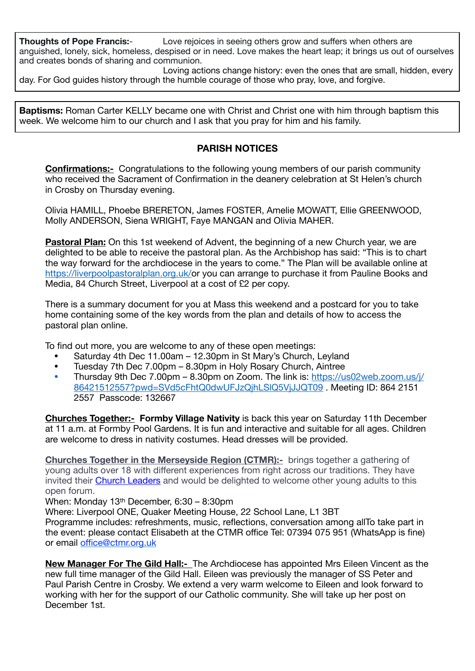**Thoughts of Pope Francis:-** Love rejoices in seeing others grow and suffers when others are anguished, lonely, sick, homeless, despised or in need. Love makes the heart leap; it brings us out of ourselves and creates bonds of sharing and communion.

 Loving actions change history: even the ones that are small, hidden, every day. For God guides history through the humble courage of those who pray, love, and forgive. 

**Baptisms:** Roman Carter KELLY became one with Christ and Christ one with him through baptism this week. We welcome him to our church and I ask that you pray for him and his family.

## **PARISH NOTICES**

**Confirmations:-** Congratulations to the following young members of our parish community who received the Sacrament of Confirmation in the deanery celebration at St Helen's church in Crosby on Thursday evening.

Olivia HAMILL, Phoebe BRERETON, James FOSTER, Amelie MOWATT, Ellie GREENWOOD, Molly ANDERSON, Siena WRIGHT, Faye MANGAN and Olivia MAHER.

**Pastoral Plan:** On this 1st weekend of Advent, the beginning of a new Church year, we are delighted to be able to receive the pastoral plan. As the Archbishop has said: "This is to chart the way forward for the archdiocese in the years to come." The Plan will be available online at [https://liverpoolpastoralplan.org.uk/o](https://liverpoolpastoralplan.org.uk/)r you can arrange to purchase it from Pauline Books and Media, 84 Church Street, Liverpool at a cost of £2 per copy.

There is a summary document for you at Mass this weekend and a postcard for you to take home containing some of the key words from the plan and details of how to access the pastoral plan online.

To find out more, you are welcome to any of these open meetings:

- Saturday 4th Dec 11.00am 12.30pm in St Mary's Church, Leyland
- Tuesday 7th Dec 7.00pm 8.30pm in Holy Rosary Church, Aintree
- [Thursday 9th Dec 7.00pm 8.30pm on Zoom. The link is: https://us02web.zoom.us/j/](https://us02web.zoom.us/j/86421512557?pwd=SVd5cFhtQ0dwUFJzQjhLSlQ5VjJJQT09) [86421512557?pwd=SVd5cFhtQ0dwUFJzQjhLSlQ5VjJJQT09](https://us02web.zoom.us/j/86421512557?pwd=SVd5cFhtQ0dwUFJzQjhLSlQ5VjJJQT09) . Meeting ID: 864 2151 2557 Passcode: 132667

**Churches Together:- Formby Village Nativity** is back this year on Saturday 11th December at 11 a.m. at Formby Pool Gardens. It is fun and interactive and suitable for all ages. Children are welcome to dress in nativity costumes. Head dresses will be provided.

**Churches Together in the Merseyside Region (CTMR):-** brings together a gathering of young adults over 18 with different experiences from right across our traditions. They have invited their [Church Leaders](https://ctmr.org.uk/Groups/341580/Church_Leaders.aspx) and would be delighted to welcome other young adults to this open forum.

When: Monday 13th December, 6:30 – 8:30pm

Where: Liverpool ONE, Quaker Meeting House, 22 School Lane, L1 3BT Programme includes: refreshments, music, reflections, conversation among allTo take part in the event: please contact Elisabeth at the CTMR office Tel: 07394 075 951 (WhatsApp is fine) or email offi[ce@ctmr.org.uk](mailto:office@ctmr.org.uk)

**New Manager For The Gild Hall:-** The Archdiocese has appointed Mrs Eileen Vincent as the new full time manager of the Gild Hall. Eileen was previously the manager of SS Peter and Paul Parish Centre in Crosby. We extend a very warm welcome to Eileen and look forward to working with her for the support of our Catholic community. She will take up her post on December 1st.